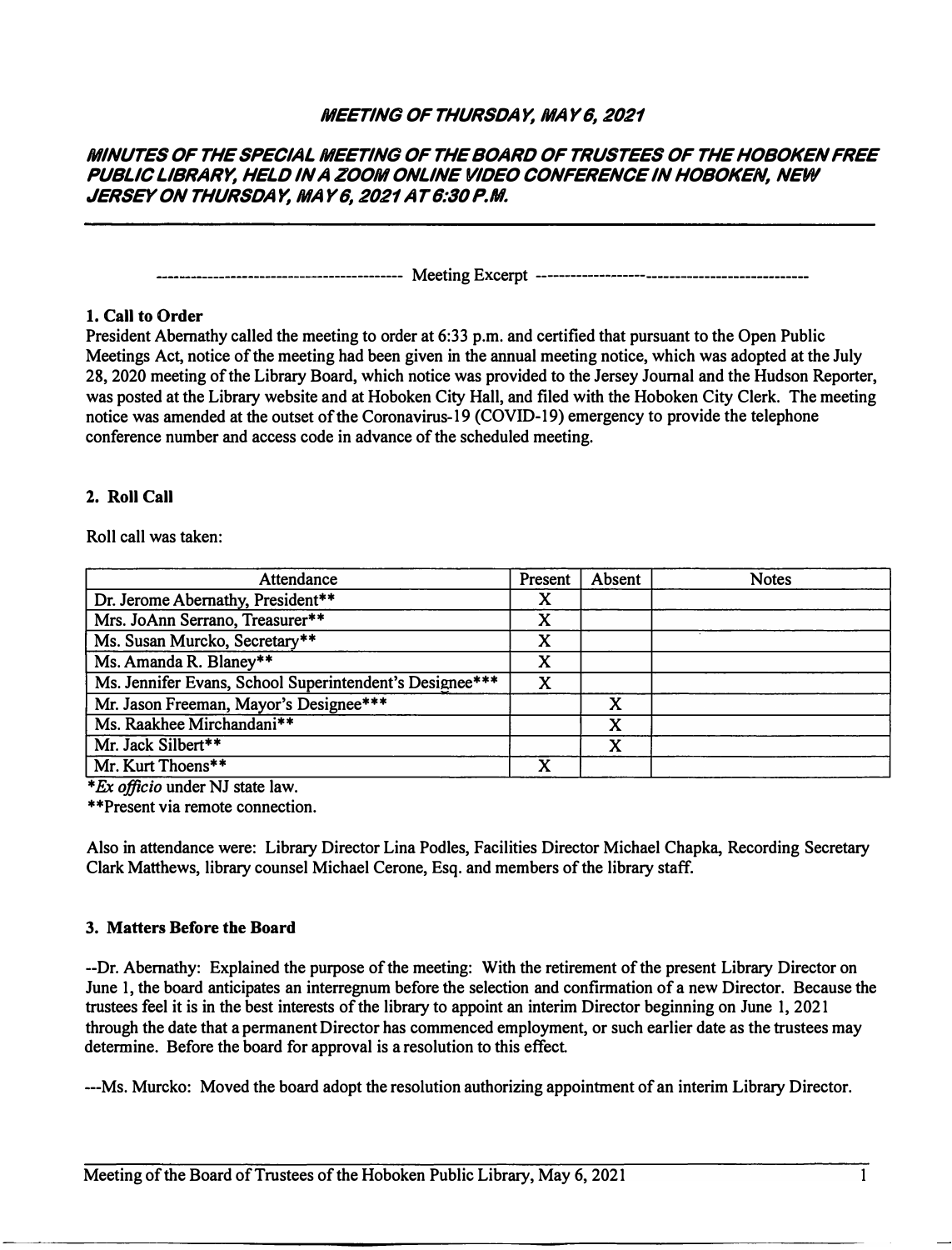# *MEETING OF THURSDAY, MAY 6, 2021*

## *MINUTES OF THE SPECIAL MEETING OF THE BOARD OF TRUSTEES OF THE HOBOKEN FREE PUBLIC LIBRARY, HELD IN A ZOOM ONLINE VIDEO CONFERENCE IN HOBOKEN, NEW JERSEY ON THURSDAY, MAY 6, 2021 AT 6:30 P.M.*

**--------------- Meeting Excerpt -------**

### **1. Call to Order**

**President Abernathy called the meeting to order at 6:33 p.m. and certified that pursuant to the Open Public Meetings Act, notice of the meeting had been given in the annual meeting notice, which was adopted at the July 28, 2020 meeting of the Library Board, which notice was provided to the Jersey Journal and the Hudson Reporter, was posted at the Library website and at Hoboken City Hall, and filed with the Hoboken City Clerk. The meeting notice was amended at the outset of the Coronavirus-19 (COVID-19) emergency to provide the telephone conference number and access code in advance of the scheduled meeting.**

### **2. Roll Call**

**Roll call was taken:** 

| Attendance                                              | Present | Absent | <b>Notes</b> |
|---------------------------------------------------------|---------|--------|--------------|
| Dr. Jerome Abernathy, President**                       | X       |        |              |
| Mrs. JoAnn Serrano, Treasurer**                         | X       |        |              |
| Ms. Susan Murcko, Secretary**                           | x       |        |              |
| Ms. Amanda R. Blaney**                                  | x       |        |              |
| Ms. Jennifer Evans, School Superintendent's Designee*** | X       |        |              |
| Mr. Jason Freeman, Mayor's Designee***                  |         | X      |              |
| Ms. Raakhee Mirchandani**                               |         | X      |              |
| Mr. Jack Silbert**                                      |         | X      |              |
| Mr. Kurt Thoens**                                       | X       |        |              |

**\*** *Ex officio* **under NJ state law.** 

**\*\*Present via remote connection.** 

**Also in attendance were: Library Director Lina Podles, Facilities Director Michael Chapka, Recording Secretary Clark Matthews, library counsel Michael Cerone, Esq. and members of the library staff.** 

#### **3. Matters Before the Board**

**--Dr. Abernathy: Explained the purpose of the meeting: With the retirement of the present Library Director on June 1, the board anticipates an interregnum before the selection and confirmation of a new Director. Because the trustees feel it is in the best interests of the library to appoint an interim Director beginning on June 1, 2021 through the date that a permanent Director has commenced employment, or such earlier date as the trustees may determine. Before the board for approval is a resolution to this effect.** 

**---Ms. Murcko: Moved the board adopt the resolution authorizing appointment of an interim Library Director.** 

 $\mathbf{1}$